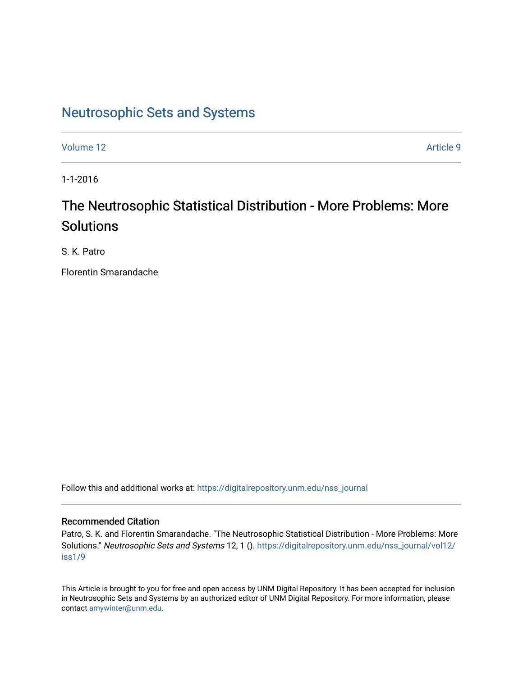## [Neutrosophic Sets and Systems](https://digitalrepository.unm.edu/nss_journal)

[Volume 12](https://digitalrepository.unm.edu/nss_journal/vol12) Article 9

1-1-2016

# The Neutrosophic Statistical Distribution - More Problems: More Solutions

S. K. Patro

Florentin Smarandache

Follow this and additional works at: [https://digitalrepository.unm.edu/nss\\_journal](https://digitalrepository.unm.edu/nss_journal?utm_source=digitalrepository.unm.edu%2Fnss_journal%2Fvol12%2Fiss1%2F9&utm_medium=PDF&utm_campaign=PDFCoverPages) 

## Recommended Citation

Patro, S. K. and Florentin Smarandache. "The Neutrosophic Statistical Distribution - More Problems: More Solutions." Neutrosophic Sets and Systems 12, 1 (). [https://digitalrepository.unm.edu/nss\\_journal/vol12/](https://digitalrepository.unm.edu/nss_journal/vol12/iss1/9?utm_source=digitalrepository.unm.edu%2Fnss_journal%2Fvol12%2Fiss1%2F9&utm_medium=PDF&utm_campaign=PDFCoverPages) [iss1/9](https://digitalrepository.unm.edu/nss_journal/vol12/iss1/9?utm_source=digitalrepository.unm.edu%2Fnss_journal%2Fvol12%2Fiss1%2F9&utm_medium=PDF&utm_campaign=PDFCoverPages)

This Article is brought to you for free and open access by UNM Digital Repository. It has been accepted for inclusion in Neutrosophic Sets and Systems by an authorized editor of UNM Digital Repository. For more information, please contact [amywinter@unm.edu](mailto:amywinter@unm.edu).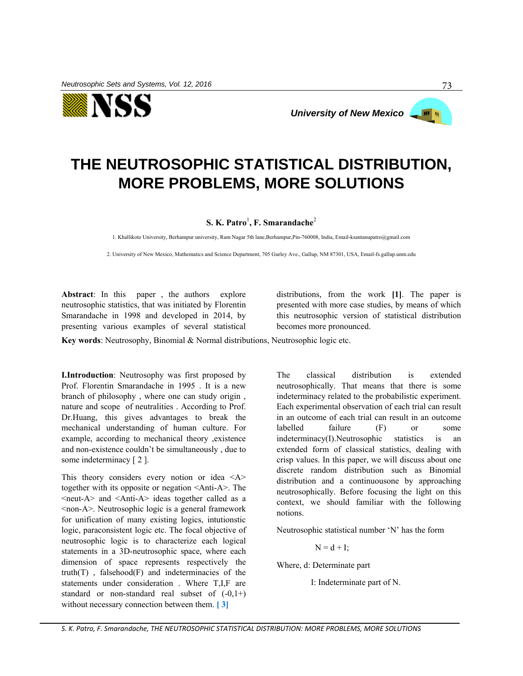

# **THE NEUTROSOPHIC STATISTICAL DISTRIBUTION, MORE PROBLEMS, MORE SOLUTIONS**

## **S. K. Patro**<sup>1</sup> **, F. Smarandache**<sup>2</sup>

1. Khallikote University, Berhampur university, Ram Nagar 5th lane,Berhampur,Pin-760008, India[, Email-ksantanupatro@gmail.com](mailto:Email-ksantanupatro@gmail.com)

2. University of New Mexico, Mathematics and Science Department, 705 Gurley Ave., Gallup, NM 87301, USA, Email-fs.gallup.unm.edu

**Abstract**: In this paper , the authors explore neutrosophic statistics, that was initiated by Florentin Smarandache in 1998 and developed in 2014, by presenting various examples of several statistical distributions, from the work **[1]**. The paper is presented with more case studies, by means of which this neutrosophic version of statistical distribution becomes more pronounced.

**Key words**: Neutrosophy, Binomial & Normal distributions, Neutrosophic logic etc.

**I.Introduction**: Neutrosophy was first proposed by Prof. Florentin Smarandache in 1995 . It is a new branch of philosophy , where one can study origin , nature and scope of neutralities . According to Prof. Dr.Huang, this gives advantages to break the mechanical understanding of human culture. For example, according to mechanical theory ,existence and non-existence couldn't be simultaneously , due to some indeterminacy [2].

This theory considers every notion or idea  $\langle A \rangle$ together with its opposite or negation <Anti-A>. The <neut-A> and <Anti-A> ideas together called as a <non-A>. Neutrosophic logic is a general framework for unification of many existing logics, intutionstic logic, paraconsistent logic etc. The focal objective of neutrosophic logic is to characterize each logical statements in a 3D-neutrosophic space, where each dimension of space represents respectively the  $truth(T)$ , falsehood $(F)$  and indeterminacies of the statements under consideration . Where T,I,F are standard or non-standard real subset of  $(-0,1+)$ without necessary connection between them. **[ 3]**

The classical distribution is extended neutrosophically. That means that there is some indeterminacy related to the probabilistic experiment. Each experimental observation of each trial can result in an outcome of each trial can result in an outcome labelled failure (F) or some indeterminacy(I).Neutrosophic statistics is an extended form of classical statistics, dealing with crisp values. In this paper, we will discuss about one discrete random distribution such as Binomial distribution and a continuousone by approaching neutrosophically. Before focusing the light on this context, we should familiar with the following notions.

Neutrosophic statistical number 'N' has the form

 $N = d + I$ :

Where, d: Determinate part

I: Indeterminate part of N.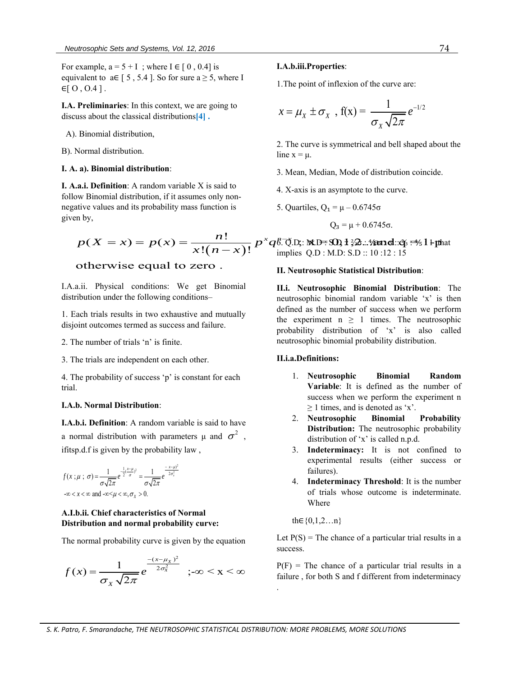For example,  $a = 5 + I$ ; where  $I \in [0, 0.4]$  is equivalent to  $a \in [5, 5.4]$ . So for sure  $a \ge 5$ , where I  $\in$ [ O, O.4 ].

**I.A. Preliminaries**: In this context, we are going to discuss about the classical distributions**[4] .**

- A). Binomial distribution,
- B). Normal distribution.

#### **I. A. a). Binomial distribution**:

**I. A.a.i. Definition**: A random variable X is said to follow Binomial distribution, if it assumes only nonnegative values and its probability mass function is given by, w Binomial distribution, if it assumes only non-<br>tive values and its probability mass function is  $p(X = x) = p(x) = \frac{n!}{x!(n-x)!} p^x q^x \overline{0}$  impl hial distribution, if it assumes only non-<br>es and its probability mass function is<br> $(1-x) = p(x) = \frac{n!}{x!(n-x)}$ 

ative values and its probability mass function is  
en by,  

$$
p(X = x) = p(x) = \frac{n!}{x!(n-x)!} p
$$

### otherwise equal to zero .

I.A.a.ii. Physical conditions: We get Binomial distribution under the following conditions–

1. Each trials results in two exhaustive and mutually disjoint outcomes termed as success and failure.

- 2. The number of trials 'n' is finite.
- 3. The trials are independent on each other.

4. The probability of success 'p' is constant for each trial.

#### **I.A.b. Normal Distribution**:

**I.A.b.i. Definition**: A random variable is said to have a normal distribution with parameters  $\mu$  and  $\sigma^2$  , ifitsp.d.f is given by the probability law ,

$$
f(x;\mu\ ;\ \sigma) = \frac{1}{\sigma\sqrt{2\pi}}e^{-\frac{1}{2}(\frac{x-\mu}{\sigma})^2} = \frac{1}{\sigma\sqrt{2\pi}}e^{-\frac{x-\mu}{2\sigma_x^2}}
$$
  
\n
$$
\int \frac{1}{\sigma\sqrt{2\pi}}e^{-\frac{x-\mu}{2\sigma_x^2}} = \frac{1}{\sigma\sqrt{2\pi}}e^{-\frac{x-\mu}{2\sigma_x^2}}
$$

#### **A.I.b.ii. Chief characteristics of Normal Distribution and normal probability curve:**

The normal probability curve is given by the equation

$$
f(x) = \frac{1}{\sigma_x \sqrt{2\pi}} e^{-\frac{-(x-\mu_x)^2}{2\sigma_x^2}} \quad ; -\infty < x < \infty
$$

#### **I.A.b.iii.Properties**:

1.The point of inflexion of the curve are:

$$
x = \mu_X \pm \sigma_X , f(x) = \frac{1}{\sigma_X \sqrt{2\pi}} e^{-1/2}
$$

2. The curve is symmetrical and bell shaped about the line  $x = \mu$ .

- 3. Mean, Median, Mode of distribution coincide.
- 4. X-axis is an asymptote to the curve.
- 5. Quartiles,  $Q_1 = \mu 0.6745\sigma$

$$
Q_3 = \mu + 0.6745\sigma.
$$

s said to<br>
(only non-<br>
inction is <br>
(n - x)  $P^x q^x$ . Quartiles, (<br>
(n - x)  $P^x$ <br>
(n - x)  $P^x$ <br>
implies Q.D Binomial distribution, it it assumes only non-<br>
e values and its probability mass function is<br>
( $X = x$ ) =  $p(x) = \frac{n!}{x!(n-x)!} p^x q^x$ ,  $\sqrt[n]{p}$ ,  $\sqrt[n]{p}$ ,  $\sqrt[n]{p}$ ,  $\sqrt[n]{p}$ ,  $\sqrt[n]{p}$ ,  $\sqrt[n]{p}$ ,  $\sqrt[n]{p}$ ,  $\sqrt[n]{p}$ ,  $\sqrt[n]{p}$ , function is <br>
5. Quartil<br>  $\frac{n!}{\left(n-x\right)!} p^x q^{\cancel{6}\cdot\cancel{6}\cdot\cancel{10}}$ , <br>  $\lim \text{plies } Q$ 6. Q̃.D;: № D= SQ) 1 ¾2.:4‰nd::අ :=½ 1 +phat implies Q.D : M.D: S.D :: 10 :12 : 15

#### **II. Neutrosophic Statistical Distribution**:

**II.i. Neutrosophic Binomial Distribution**: The neutrosophic binomial random variable 'x' is then defined as the number of success when we perform the experiment  $n \geq 1$  times. The neutrosophic probability distribution of 'x' is also called neutrosophic binomial probability distribution.

#### **II.i.a.Definitions:**

- 1. **Neutrosophic Binomial Random Variable**: It is defined as the number of success when we perform the experiment n  $\geq$  1 times, and is denoted as 'x'.
- 2. **Neutrosophic Binomial Probability Distribution:** The neutrosophic probability distribution of 'x' is called n.p.d.
- 3. **Indeterminacy:** It is not confined to experimental results (either success or failures).
- 4. **Indeterminacy Threshold**: It is the number of trials whose outcome is indeterminate. Where

th∈{0,1,2…n}

.

Let  $P(S)$  = The chance of a particular trial results in a success.

 $P(F)$  = The chance of a particular trial results in a failure , for both S and f different from indeterminacy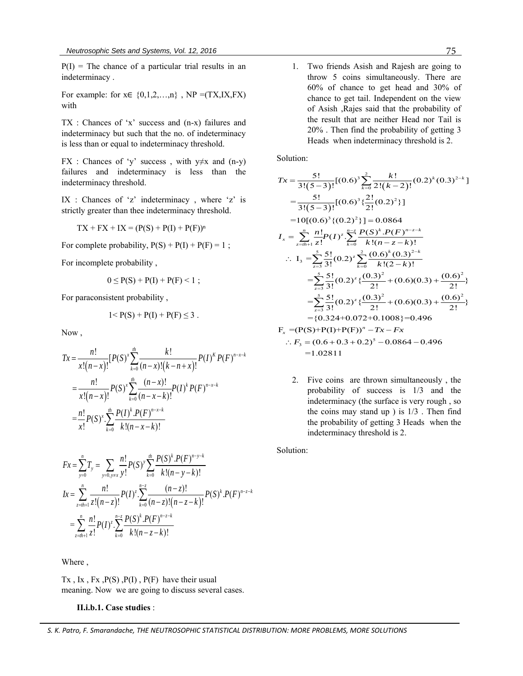$P(I)$  = The chance of a particular trial results in an indeterminacy .

For example: for  $x \in \{0,1,2,...,n\}$ ,  $NP = (TX,IX, FX)$ with

TX : Chances of 'x' success and (n-x) failures and indeterminacy but such that the no. of indeterminacy is less than or equal to indeterminacy threshold.

FX : Chances of 'y' success, with  $y \neq x$  and (n-y) failures and indeterminacy is less than the indeterminacy threshold.

IX : Chances of 'z' indeterminacy , where 'z' is strictly greater than thee indeterminacy threshold.

$$
TX + FX + IX = (P(S) + P(I) + P(F))n
$$

For complete probability,  $P(S) + P(I) + P(F) = 1$ ;

For incomplete probability ,

$$
0 \le P(S) + P(I) + P(F) < 1 \; ;
$$

For paraconsistent probability ,

$$
1 < P(S) + P(I) + P(F) \le 3
$$
.

Now ,

Now,  
\n
$$
Tx = \frac{n!}{x!(n-x)!} [P(S)^{x} \sum_{k=0}^{th} \frac{k!}{(n-x)!(k-n+x)!} P(I)^{k} P(F)^{n-x-k}
$$
\n
$$
= \frac{n!}{x!(n-x)!} P(S)^{x} \sum_{k=0}^{th} \frac{(n-x)!}{(n-x-k)!} P(I)^{k} P(F)^{n-x-k}
$$
\n
$$
= \frac{n!}{x!} P(S)^{x} \sum_{k=0}^{th} \frac{P(I)^{k} P(F)^{n-x-k}}{k!(n-x-k)!}
$$

$$
Fx = \sum_{y=0}^{n} T_y = \sum_{y=0, y \neq x} \frac{n!}{y!} P(S)^y \sum_{k=0}^{n} \frac{P(S)^k \cdot P(F)^{n-y-k}}{k!(n-y-k)!}
$$
  
\n
$$
Ix = \sum_{z=n+1}^{n} \frac{n!}{z!(n-z)!} P(I)^z \cdot \sum_{k=0}^{n-z} \frac{(n-z)!}{(n-z)!(n-z-k)!} P(S)^k \cdot P(F)^{n-z-k}
$$
  
\n
$$
= \sum_{z=n+1}^{n} \frac{n!}{z!} P(I)^z \cdot \sum_{k=0}^{n-z} \frac{P(S)^k \cdot P(F)^{n-z-k}}{k!(n-z-k)!}
$$

Where ,

Tx, Ix, Fx,  $P(S)$ ,  $P(I)$ ,  $P(F)$  have their usual meaning. Now we are going to discuss several cases.

#### **II.i.b.1. Case studies** :

1. Two friends Asish and Rajesh are going to throw 5 coins simultaneously. There are 60% of chance to get head and 30% of chance to get tail. Independent on the view of Asish ,Rajes said that the probability of the result that are neither Head nor Tail is 20% . Then find the probability of getting 3 Heads when indeterminacy threshold is 2.

Solution:

Solution:  
\n
$$
Tx = \frac{5!}{3!(5-3)!} [(0.6)^3 \sum_{k=0}^{2} \frac{k!}{2!(k-2)!} (0.2)^k (0.3)^{2-k}]
$$
\n
$$
= \frac{5!}{3!(5-3)!} [(0.6)^3 \{2! (0.2)^2\}]
$$
\n
$$
= 10[(0.6)^3 \{(0.2)^2\}] = 0.0864
$$
\n
$$
I_x = \sum_{z=th+1}^{n} \frac{n!}{z!} P(I)^z \sum_{k=0}^{n-z} \frac{P(S)^k \cdot P(F)^{n-z-k}}{k!(n-z-k)!}
$$
\n
$$
\therefore I_3 = \sum_{z=3}^{5} \frac{5!}{3!} (0.2)^z \sum_{k=0}^{2} \frac{(0.6)^k (0.3)^{2-k}}{k!(2-k)!}
$$
\n
$$
= \sum_{z=3}^{5} \frac{5!}{3!} (0.2)^z \{ \frac{(0.3)^2}{2!} + (0.6)(0.3) + \frac{(0.6)^2}{2!} \}
$$
\n
$$
= \sum_{z=3}^{5} \frac{5!}{3!} (0.2)^z \{ \frac{(0.3)^2}{2!} + (0.6)(0.3) + \frac{(0.6)^2}{2!} \}
$$
\n
$$
= \{0.324 + 0.072 + 0.1008\} = 0.496
$$
\n
$$
F_x = (P(S) + P(I) + P(F))^n - Tx - Fx
$$
\n
$$
\therefore F_3 = (0.6 + 0.3 + 0.2)^5 - 0.0864 - 0.496
$$
\n
$$
= 1.02811
$$

2. Five coins are thrown simultaneously , the probability of success is 1/3 and the indeterminacy (the surface is very rough , so the coins may stand up  $)$  is  $1/3$ . Then find the probability of getting 3 Heads when the indeterminacy threshold is 2.

Solution:

#### *S. K. Patro, F. Smarandache, THE NEUTROSOPHIC STATISTICAL DISTRIBUTION: MORE PROBLEMS, MORE SOLUTIONS*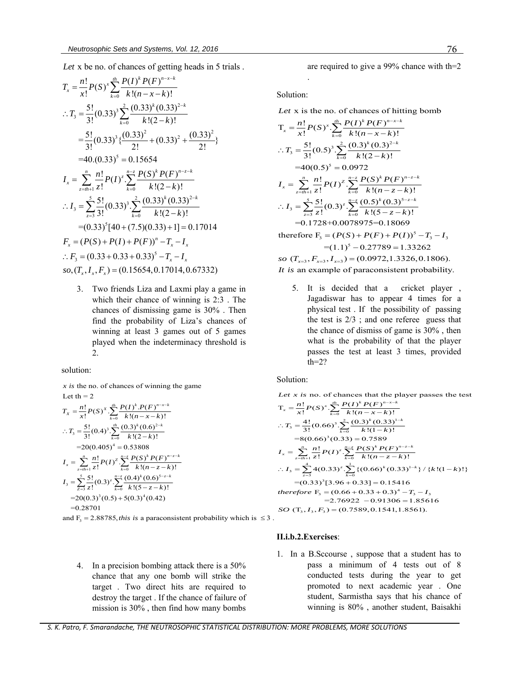Let x be no. of chances of getting heads in 5 trials.  
\n
$$
T_x = \frac{n!}{x!} P(S)^x \sum_{k=0}^{n} \frac{P(I)^k P(F)^{n-x-k}}{k!(n-x-k)!}
$$
\n
$$
\therefore T_3 = \frac{5!}{3!} (0.33)^3 \sum_{k=0}^{2} \frac{(0.33)^k (0.33)^{2-k}}{k!(2-k)!}
$$
\n
$$
= \frac{5!}{3!} (0.33)^3 \{ \frac{(0.33)^2}{2!} + (0.33)^2 + \frac{(0.33)^2}{2!} \}
$$
\n
$$
= 40. (0.33)^5 = 0.15654
$$
\n
$$
I_x = \sum_{z=0}^{n} \frac{n!}{z!} P(I)^z \cdot \sum_{k=0}^{n-z} \frac{P(S)^k P(F)^{n-z-k}}{k!(2-k)!}
$$
\n
$$
\therefore I_3 = \sum_{z=3}^{5} \frac{5!}{3!} (0.33)^3 \cdot \sum_{k=0}^{2} \frac{(0.33)^k (0.33)^{2-k}}{k!(2-k)!}
$$
\n
$$
= (0.33)^5 [40 + (7.5)(0.33) + 1] = 0.17014
$$
\n
$$
F_x = (P(S) + P(I) + P(F))^n - T_x - I_x
$$
\n
$$
\therefore F_3 = (0.33 + 0.33 + 0.33)^5 - T_x - I_x
$$
\nso,  $(T_x, I_x, F_x) = (0.15654, 0.17014, 0.67332)$ 

3. Two friends Liza and Laxmi play a game in which their chance of winning is 2:3 . The chances of dismissing game is 30% . Then find the probability of Liza's chances of winning at least 3 games out of 5 games played when the indeterminacy threshold is 2.

solution:<br> $x$  is the n *x* is the no. of chances of winning the game<br>
Let th = 2<br>  $T_x = \frac{n!}{x!} P(S)^x \cdot \sum_{k=0}^{n} \frac{P(I)^k \cdot P(F)^{n-x-k}}{k!(n-x-k)!}$ Let th  $= 2$ *th*  $P(I)^{k} P(F)^{n-x-k}$  $\frac{1}{-x-k}$ 

Let th = 2  
\n
$$
T_x = \frac{n!}{x!} P(S)^x \cdot \sum_{k=0}^{n} \frac{P(I)^k \cdot P(F)^{n-x-k}}{k!(n-x-k)!}
$$
\n
$$
\therefore T_3 = \frac{5!}{3!} (0.4)^3 \sum_{k=0}^{n} \frac{(0.3)^k (0.6)^{2-k}}{k!(2-k)!}
$$
\n
$$
= 20(0.405)^4 = 0.53808
$$
\n
$$
I_x = \sum_{z=n+1}^{n} \frac{n!}{z!} P(I)^2 \sum_{k=0}^{n-z} \frac{P(S)^k P(F)^{n-z-k}}{k!(n-z-k)!}
$$
\n
$$
I_3 = \sum_{z=3}^{5} \frac{5!}{z!} (0.3)^z \sum_{k=0}^{n-z} \frac{(0.4)^k (0.6)^{5-z-k}}{k!(5-z-k)!}
$$
\n
$$
= 20(0.3)^3 (0.5) + 5(0.3)^4 (0.42)
$$
\n
$$
= 0.28701
$$
\nand F<sub>3</sub> = 2.88785, this is a paraconsistent probability which is  $\leq 3$ .

4. In a precision bombing attack there is a 50% chance that any one bomb will strike the target . Two direct hits are required to destroy the target . If the chance of failure of mission is 30% , then find how many bombs

are required to give a 99% chance with th=2

Solution:

.

Let x is the no. of chances of hitting bomb  
\n
$$
T_x = \frac{n!}{x!} P(S)^x \cdot \sum_{k=0}^{n} \frac{P(I)^k P(F)^{n-x-k}}{k!(n-x-k)!}
$$
\n
$$
\therefore T_3 = \frac{5!}{3!} (0.5)^3 \cdot \sum_{k=0}^{2} \frac{(0.3)^k (0.3)^{2-k}}{k!(2-k)!}
$$
\n
$$
= 40(0.5)^5 = 0.0972
$$
\n
$$
I_x = \sum_{z=n+1}^{n} \frac{n!}{z!} P(I)^z \cdot \sum_{k=0}^{n-z} \frac{P(S)^k P(F)^{n-z-k}}{k!(n-z-k)!}
$$
\n
$$
\therefore I_3 = \sum_{z=3}^{5} \frac{5!}{z!} (0.3)^z \cdot \sum_{k=0}^{n-z} \frac{(0.5)^k (0.3)^{5-z-k}}{k!(5-z-k)!}
$$
\n
$$
= 0.1728 + 0.0078975 = 0.18069
$$
\ntherefore F\_3 = (P(S) + P(F) + P(I))^5 - T\_3 - I\_3\n
$$
= (1.1)^5 - 0.27789 = 1.33262
$$
\nso  $(T_{x=3}, F_{x=3}, I_{x=3}) = (0.0972, 1.3326, 0.1806)$ .

*It is* an example of paraconsistent probability.

5. It is decided that a cricket player , Jagadiswar has to appear 4 times for a physical test . If the possibility of passing the test is 2/3 ; and one referee guess that the chance of dismiss of game is 30% , then what is the probability of that the player passes the test at least 3 times, provided  $th=2?$ 

Solution:

 $x$  is no. of chances that the player passes the test

Solution:  
\nLet x is no. of chances that the player passes the test  
\n
$$
T_x = \frac{n!}{x!} P(S)^x \cdot \sum_{k=0}^{m} \frac{P(I)^k P(F)^{n-x-k}}{k!(n-x-k)!}
$$
\n
$$
\therefore T_3 = \frac{4!}{3!} (0.66)^3 \cdot \sum_{k=0}^{2} \frac{(0.3)^k (0.33)^{1-k}}{k!(1-k)!}
$$
\n
$$
= 8(0.66)^3 (0.33) = 0.7589
$$
\n
$$
I_x = \sum_{z=0}^{n} \frac{n!}{z!} P(I)^z \cdot \sum_{k=0}^{n-z} \frac{P(S)^k P(F)^{n-z-k}}{k!(n-z-k)!}
$$
\n
$$
\therefore I_3 = \sum_{z=0}^{4} 4(0.33)^z \cdot \sum_{k=0}^{1} \{(0.66)^k (0.33)^{1-k}\} / \{k!(1-k)!\}
$$
\n
$$
= (0.33)^3 [3.96 + 0.33] = 0.15416
$$
\ntherefore F\_3 = (0.66 + 0.33 + 0.3)^4 - T\_3 - I\_3\n
$$
= 2.76922 - 0.91306 = 1.85616
$$
\nSO (T<sub>3</sub>, I<sub>3</sub>, F<sub>3</sub>) = (0.7589, 0.1541, 1.8561).

#### **II.i.b.2.Exercises**:

1. In a B.Sccourse , suppose that a student has to pass a minimum of 4 tests out of 8 conducted tests during the year to get promoted to next academic year . One student, Sarmistha says that his chance of winning is 80% , another student, Baisakhi

*S. K. Patro, F. Smarandache, THE NEUTROSOPHIC STATISTICAL DISTRIBUTION: MORE PROBLEMS, MORE SOLUTIONS*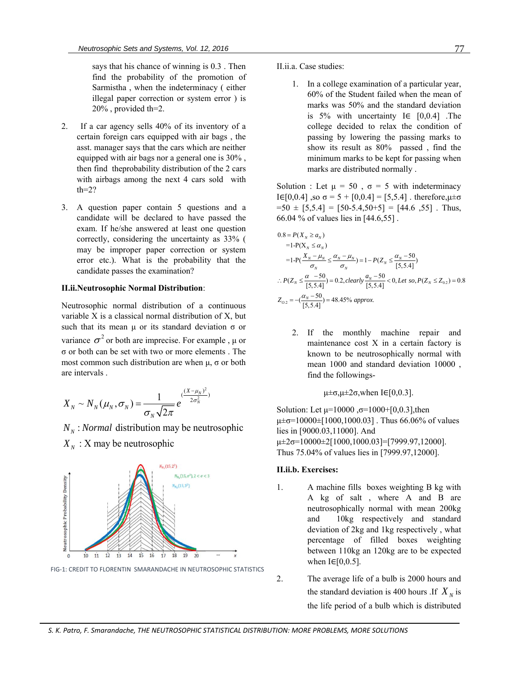says that his chance of winning is 0.3 . Then find the probability of the promotion of Sarmistha , when the indeterminacy ( either illegal paper correction or system error ) is 20% , provided th=2.

- 2. If a car agency sells 40% of its inventory of a certain foreign cars equipped with air bags , the asst. manager says that the cars which are neither equipped with air bags nor a general one is 30% , then find theprobability distribution of the 2 cars with airbags among the next 4 cars sold with  $th=2?$
- 3. A question paper contain 5 questions and a candidate will be declared to have passed the exam. If he/she answered at least one question correctly, considering the uncertainty as 33% ( may be improper paper correction or system error etc.). What is the probability that the candidate passes the examination?

#### **II.ii.Neutrosophic Normal Distribution**:

Neutrosophic normal distribution of a continuous variable X is a classical normal distribution of X, but such that its mean  $\mu$  or its standard deviation  $\sigma$  or variance  $\sigma^2$  or both are imprecise. For example,  $\mu$  or σ or both can be set with two or more elements . The most common such distribution are when  $\mu$ ,  $\sigma$  or both are intervals .

$$
X_N \sim N_N(\mu_N, \sigma_N) = \frac{1}{\sigma_N \sqrt{2\pi}} e^{(\frac{(X - \mu_N)^2}{2\sigma_N^2})}
$$
  
N<sub>N</sub>: *Normal* distribution may be neutrosophic

 $X_N$  :  $X$  may be neutrosophic



FIG-1: CREDIT TO FLORENTIN SMARANDACHE IN NEUTROSOPHIC STATISTICS

II.ii.a. Case studies:

1. In a college examination of a particular year, 60% of the Student failed when the mean of marks was 50% and the standard deviation is 5% with uncertainty I∈ [0,0.4] .The college decided to relax the condition of passing by lowering the passing marks to show its result as 80% passed , find the minimum marks to be kept for passing when marks are distributed normally .

Solution : Let  $\mu = 50$ ,  $\sigma = 5$  with indeterminacy I∈[0,0.4], so  $\sigma = 5 + [0,0.4] = [5,5.4]$ . therefore,  $\mu \pm \sigma$  $=50 \pm [5,5.4] = [50-5.4,50+5] = [44.6, 55]$ . Thus,

66.04 % of values lies in [44.6,55].  
\n
$$
0.8 = P(X_N \ge a_N)
$$
\n
$$
= 1 - P(X_N \le a_N)
$$
\n
$$
= 1 - P(\frac{X_N - \mu_N}{\sigma_N} \le \frac{\alpha_N - \mu_N}{\sigma_N}) = 1 - P(Z_N \le \frac{\alpha_N - 50}{[5, 5.4]})
$$
\n
$$
\therefore P(Z_N \le \frac{\alpha - 50}{[5, 5.4]}) = 0.2, clearly \frac{a_N - 50}{[5, 5.4]} < 0, Let so, P(Z_N \le Z_{0.2}) = 0.8
$$
\n
$$
Z_{0.2} = -(\frac{\alpha_N - 50}{[5, 5.4]}) = 48.45\% \text{ approx.}
$$

2. If the monthly machine repair and maintenance cost X in a certain factory is known to be neutrosophically normal with mean 1000 and standard deviation 10000 , find the followings-

$$
\mu \pm \sigma, \mu \pm 2\sigma, \text{when } I \in [0, 0.3].
$$

Solution: Let  $\mu$ =10000,  $\sigma$ =1000+[0,0.3], then  $\mu \pm \sigma = 10000 \pm [1000, 1000.03]$ . Thus 66.06% of values lies in [9000.03,11000]. And  $\mu \pm 2\sigma = 10000 \pm 2[1000, 1000.03] = [7999.97, 12000].$ Thus 75.04% of values lies in [7999.97,12000].

## **II.ii.b. Exercises:**

- 1. A machine fills boxes weighting B kg with A kg of salt , where A and B are neutrosophically normal with mean 200kg and 10kg respectively and standard deviation of 2kg and 1kg respectively , what percentage of filled boxes weighting between 110kg an 120kg are to be expected when  $I \in [0, 0.5]$ .
- 2. The average life of a bulb is 2000 hours and the standard deviation is 400 hours . If  $X_N$  is the life period of a bulb which is distributed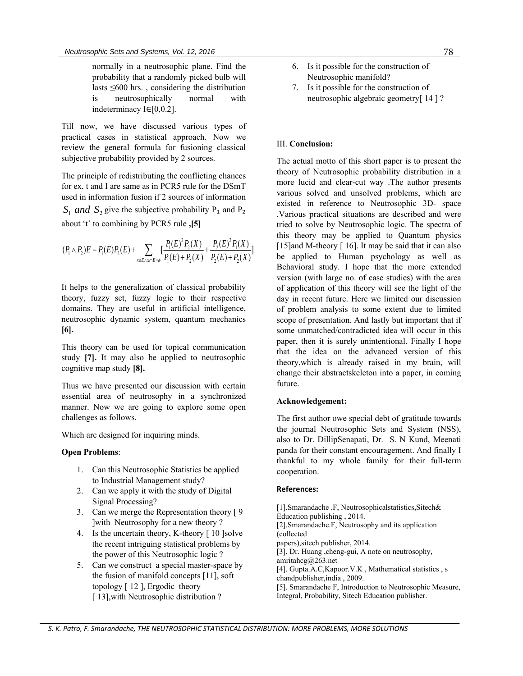normally in a neutrosophic plane. Find the probability that a randomly picked bulb will lasts ≤600 hrs. , considering the distribution is neutrosophically normal with indeterminacy I∈[0,0.2].

Till now, we have discussed various types of practical cases in statistical approach. Now we review the general formula for fusioning classical subjective probability provided by 2 sources.

The principle of redistributing the conflicting chances for ex. t and I are same as in PCR5 rule for the DSmT used in information fusion if 2 sources of information  $S_1$  *and*  $S_2$  give the subjective probability P<sub>1</sub> and P<sub>2</sub>

about 't' to combining by PCR5 rule, [5]  
\n
$$
(P_1 \wedge P_2)E = P_1(E)P_2(E) + \sum_{x \in E \wedge x \cap E \neq \emptyset} \left[ \frac{P_1(E)^2 P_2(X)}{P_1(E) + P_2(X)} + \frac{P_2(E)^2 P_1(X)}{P_2(E) + P_2(X)} \right]
$$
\n
$$
\downarrow
$$

It helps to the generalization of classical probability theory, fuzzy set, fuzzy logic to their respective domains. They are useful in artificial intelligence, neutrosophic dynamic system, quantum mechanics **[6].**

This theory can be used for topical communication study **[7].** It may also be applied to neutrosophic cognitive map study **[8].**

Thus we have presented our discussion with certain essential area of neutrosophy in a synchronized manner. Now we are going to explore some open challenges as follows.

Which are designed for inquiring minds.

## **Open Problems**:

- 1. Can this Neutrosophic Statistics be applied to Industrial Management study?
- 2. Can we apply it with the study of Digital Signal Processing?
- 3. Can we merge the Representation theory [ 9 ]with Neutrosophy for a new theory ?
- 4. Is the uncertain theory, K-theory [10] solve the recent intriguing statistical problems by the power of this Neutrosophic logic ?
- 5. Can we construct a special master-space by the fusion of manifold concepts [11], soft topology [ 12 ], Ergodic theory [13], with Neutrosophic distribution?
- 6. Is it possible for the construction of Neutrosophic manifold?
- 7. Is it possible for the construction of neutrosophic algebraic geometry[ 14 ] ?

## III. **Conclusion:**

The actual motto of this short paper is to present the theory of Neutrosophic probability distribution in a more lucid and clear-cut way .The author presents various solved and unsolved problems, which are existed in reference to Neutrosophic 3D- space .Various practical situations are described and were tried to solve by Neutrosophic logic. The spectra of this theory may be applied to Quantum physics [15] and M-theory  $[16]$ . It may be said that it can also be applied to Human psychology as well as Behavioral study. I hope that the more extended version (with large no. of case studies) with the area of application of this theory will see the light of the day in recent future. Here we limited our discussion of problem analysis to some extent due to limited scope of presentation. And lastly but important that if some unmatched/contradicted idea will occur in this paper, then it is surely unintentional. Finally I hope that the idea on the advanced version of this theory,which is already raised in my brain, will change their abstractskeleton into a paper, in coming future.

## **Acknowledgement:**

The first author owe special debt of gratitude towards the journal Neutrosophic Sets and System (NSS), also to Dr. DillipSenapati, Dr. S. N Kund, Meenati panda for their constant encouragement. And finally I thankful to my whole family for their full-term cooperation.

## **References:**

[1].Smarandache .F, Neutrosophicalstatistics,Sitech& Education publishing , 2014. [2].Smarandache.F, Neutrosophy and its application (collected papers),sitech publisher, 2014. [3]. Dr. Huang ,cheng-gui, A note on neutrosophy, amritahcg@263.net [4]. Gupta.A.C,Kapoor.V.K , Mathematical statistics , s chandpublisher,india , 2009. [5]. Smarandache F, Introduction to Neutrosophic Measure, Integral, Probability, Sitech Education publisher.